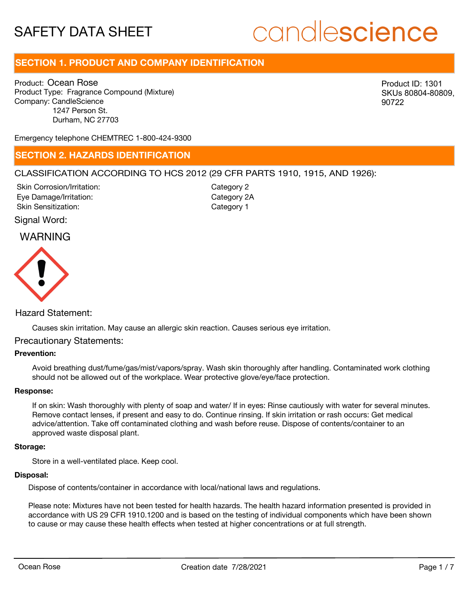# candlescience

# **SECTION 1. PRODUCT AND COMPANY IDENTIFICATION**

Product: Ocean Rose Product Type: Fragrance Compound (Mixture) Company: CandleScience 1247 Person St. Durham, NC 27703

Product ID: 1301 SKUs 80804-80809, 90722

Emergency telephone CHEMTREC 1-800-424-9300

### **SECTION 2. HAZARDS IDENTIFICATION**

### CLASSIFICATION ACCORDING TO HCS 2012 (29 CFR PARTS 1910, 1915, AND 1926):

Skin Corrosion/Irritation: Eye Damage/Irritation: Skin Sensitization:

Category 2 Category 2A Category 1

### Signal Word:

## WARNING



### Hazard Statement:

Causes skin irritation. May cause an allergic skin reaction. Causes serious eye irritation.

### Precautionary Statements:

### **Prevention:**

Avoid breathing dust/fume/gas/mist/vapors/spray. Wash skin thoroughly after handling. Contaminated work clothing should not be allowed out of the workplace. Wear protective glove/eye/face protection.

### **Response:**

If on skin: Wash thoroughly with plenty of soap and water/ If in eyes: Rinse cautiously with water for several minutes. Remove contact lenses, if present and easy to do. Continue rinsing. If skin irritation or rash occurs: Get medical advice/attention. Take off contaminated clothing and wash before reuse. Dispose of contents/container to an approved waste disposal plant.

#### **Storage:**

Store in a well-ventilated place. Keep cool.

### **Disposal:**

Dispose of contents/container in accordance with local/national laws and regulations.

Please note: Mixtures have not been tested for health hazards. The health hazard information presented is provided in accordance with US 29 CFR 1910.1200 and is based on the testing of individual components which have been shown to cause or may cause these health effects when tested at higher concentrations or at full strength.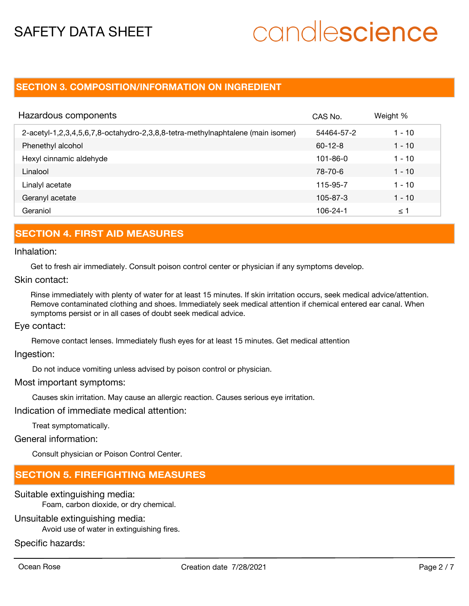# candlescience

## **SECTION 3. COMPOSITION/INFORMATION ON INGREDIENT**

| Hazardous components                                                            | CAS No.        | Weight % |
|---------------------------------------------------------------------------------|----------------|----------|
| 2-acetyl-1,2,3,4,5,6,7,8-octahydro-2,3,8,8-tetra-methylnaphtalene (main isomer) | 54464-57-2     | 1 - 10   |
| Phenethyl alcohol                                                               | $60 - 12 - 8$  | $1 - 10$ |
| Hexyl cinnamic aldehyde                                                         | $101 - 86 - 0$ | $1 - 10$ |
| Linalool                                                                        | 78-70-6        | $1 - 10$ |
| Linalyl acetate                                                                 | 115-95-7       | $1 - 10$ |
| Geranyl acetate                                                                 | $105 - 87 - 3$ | $1 - 10$ |
| Geraniol                                                                        | 106-24-1       | ≤ 1      |

## **SECTION 4. FIRST AID MEASURES**

### Inhalation:

Get to fresh air immediately. Consult poison control center or physician if any symptoms develop.

### Skin contact:

Rinse immediately with plenty of water for at least 15 minutes. If skin irritation occurs, seek medical advice/attention. Remove contaminated clothing and shoes. Immediately seek medical attention if chemical entered ear canal. When symptoms persist or in all cases of doubt seek medical advice.

### Eye contact:

Remove contact lenses. Immediately flush eyes for at least 15 minutes. Get medical attention

### Ingestion:

Do not induce vomiting unless advised by poison control or physician.

### Most important symptoms:

Causes skin irritation. May cause an allergic reaction. Causes serious eye irritation.

Indication of immediate medical attention:

Treat symptomatically.

### General information:

Consult physician or Poison Control Center.

### **SECTION 5. FIREFIGHTING MEASURES**

### Suitable extinguishing media:

Foam, carbon dioxide, or dry chemical.

### Unsuitable extinguishing media:

Avoid use of water in extinguishing fires.

### Specific hazards: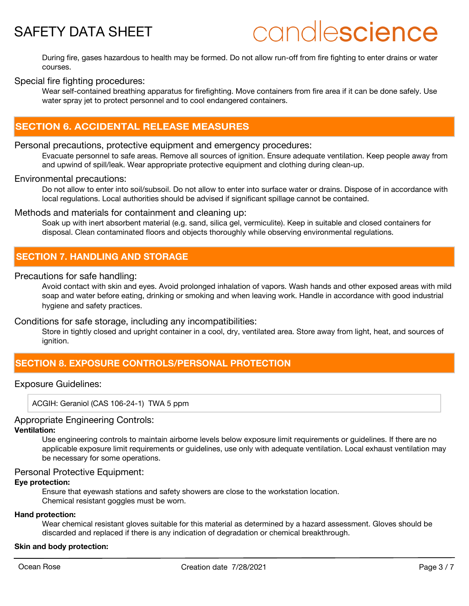# candlescience

During fire, gases hazardous to health may be formed. Do not allow run-off from fire fighting to enter drains or water courses.

### Special fire fighting procedures:

Wear self-contained breathing apparatus for firefighting. Move containers from fire area if it can be done safely. Use water spray jet to protect personnel and to cool endangered containers.

# **SECTION 6. ACCIDENTAL RELEASE MEASURES**

### Personal precautions, protective equipment and emergency procedures:

Evacuate personnel to safe areas. Remove all sources of ignition. Ensure adequate ventilation. Keep people away from and upwind of spill/leak. Wear appropriate protective equipment and clothing during clean-up.

### Environmental precautions:

Do not allow to enter into soil/subsoil. Do not allow to enter into surface water or drains. Dispose of in accordance with local regulations. Local authorities should be advised if significant spillage cannot be contained.

### Methods and materials for containment and cleaning up:

Soak up with inert absorbent material (e.g. sand, silica gel, vermiculite). Keep in suitable and closed containers for disposal. Clean contaminated floors and objects thoroughly while observing environmental regulations.

### **SECTION 7. HANDLING AND STORAGE**

### Precautions for safe handling:

Avoid contact with skin and eyes. Avoid prolonged inhalation of vapors. Wash hands and other exposed areas with mild soap and water before eating, drinking or smoking and when leaving work. Handle in accordance with good industrial hygiene and safety practices.

### Conditions for safe storage, including any incompatibilities:

Store in tightly closed and upright container in a cool, dry, ventilated area. Store away from light, heat, and sources of ignition.

# **SECTION 8. EXPOSURE CONTROLS/PERSONAL PROTECTION**

### Exposure Guidelines:

ACGIH: Geraniol (CAS 106-24-1) TWA 5 ppm

### Appropriate Engineering Controls:

### **Ventilation:**

Use engineering controls to maintain airborne levels below exposure limit requirements or guidelines. If there are no applicable exposure limit requirements or guidelines, use only with adequate ventilation. Local exhaust ventilation may be necessary for some operations.

### Personal Protective Equipment:

### **Eye protection:**

Ensure that eyewash stations and safety showers are close to the workstation location. Chemical resistant goggles must be worn.

#### **Hand protection:**

Wear chemical resistant gloves suitable for this material as determined by a hazard assessment. Gloves should be discarded and replaced if there is any indication of degradation or chemical breakthrough.

### **Skin and body protection:**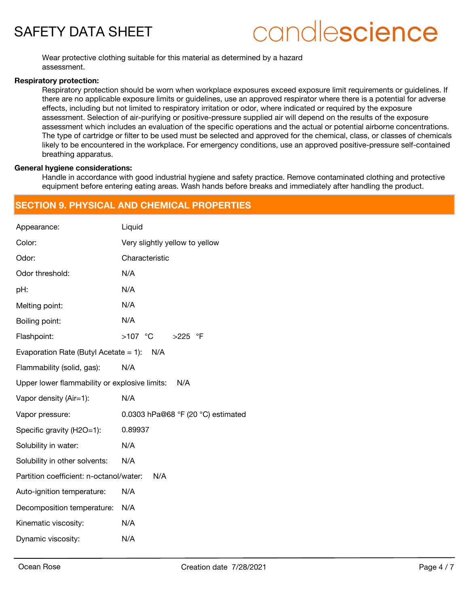# candlescience

Wear protective clothing suitable for this material as determined by a hazard assessment.

### **Respiratory protection:**

Respiratory protection should be worn when workplace exposures exceed exposure limit requirements or quidelines. If there are no applicable exposure limits or guidelines, use an approved respirator where there is a potential for adverse effects, including but not limited to respiratory irritation or odor, where indicated or required by the exposure assessment. Selection of air-purifying or positive-pressure supplied air will depend on the results of the exposure assessment which includes an evaluation of the specific operations and the actual or potential airborne concentrations. The type of cartridge or filter to be used must be selected and approved for the chemical, class, or classes of chemicals likely to be encountered in the workplace. For emergency conditions, use an approved positive-pressure self-contained breathing apparatus.

### **General hygiene considerations:**

Handle in accordance with good industrial hygiene and safety practice. Remove contaminated clothing and protective equipment before entering eating areas. Wash hands before breaks and immediately after handling the product.

## **SECTION 9. PHYSICAL AND CHEMICAL PROPERTIES**

| Appearance:                                   | Liquid                             |
|-----------------------------------------------|------------------------------------|
| Color:                                        | Very slightly yellow to yellow     |
| Odor:                                         | Characteristic                     |
| Odor threshold:                               | N/A                                |
| pH:                                           | N/A                                |
| Melting point:                                | N/A                                |
| Boiling point:                                | N/A                                |
| Flashpoint:                                   | $>225$ °F                          |
| Evaporation Rate (Butyl Acetate $= 1$ ):      | N/A                                |
| Flammability (solid, gas):                    | N/A                                |
| Upper lower flammability or explosive limits: | N/A                                |
| Vapor density (Air=1):                        | N/A                                |
| Vapor pressure:                               | 0.0303 hPa@68 °F (20 °C) estimated |
| Specific gravity (H2O=1):                     | 0.89937                            |
| Solubility in water:                          | N/A                                |
| Solubility in other solvents:                 | N/A                                |
| Partition coefficient: n-octanol/water:       | N/A                                |
| Auto-ignition temperature:                    | N/A                                |
| Decomposition temperature:                    | N/A                                |
| Kinematic viscosity:                          | N/A                                |
| Dynamic viscosity:                            | N/A                                |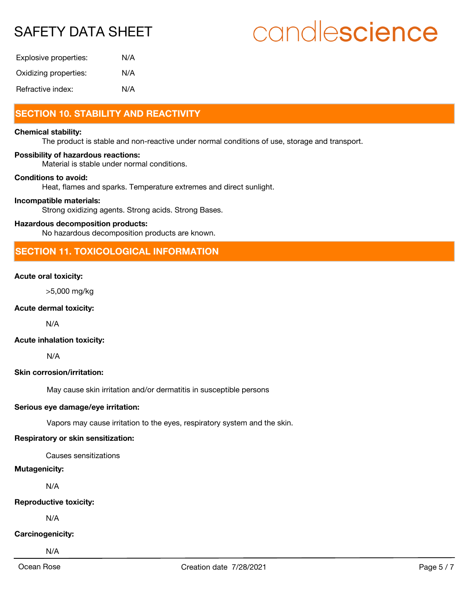# candlescience

| Explosive properties: | N/A |
|-----------------------|-----|
| Oxidizing properties: | N/A |
| Refractive index:     | N/A |

# **SECTION 10. STABILITY AND REACTIVITY**

### **Chemical stability:**

The product is stable and non-reactive under normal conditions of use, storage and transport.

### **Possibility of hazardous reactions:**

Material is stable under normal conditions.

### **Conditions to avoid:**

Heat, flames and sparks. Temperature extremes and direct sunlight.

### **Incompatible materials:**

Strong oxidizing agents. Strong acids. Strong Bases.

### **Hazardous decomposition products:**

No hazardous decomposition products are known.

## **SECTION 11. TOXICOLOGICAL INFORMATION**

### **Acute oral toxicity:**

>5,000 mg/kg

### **Acute dermal toxicity:**

N/A

### **Acute inhalation toxicity:**

N/A

### **Skin corrosion/irritation:**

May cause skin irritation and/or dermatitis in susceptible persons

### **Serious eye damage/eye irritation:**

Vapors may cause irritation to the eyes, respiratory system and the skin.

### **Respiratory or skin sensitization:**

Causes sensitizations

### **Mutagenicity:**

N/A

### **Reproductive toxicity:**

N/A

### **Carcinogenicity:**

N/A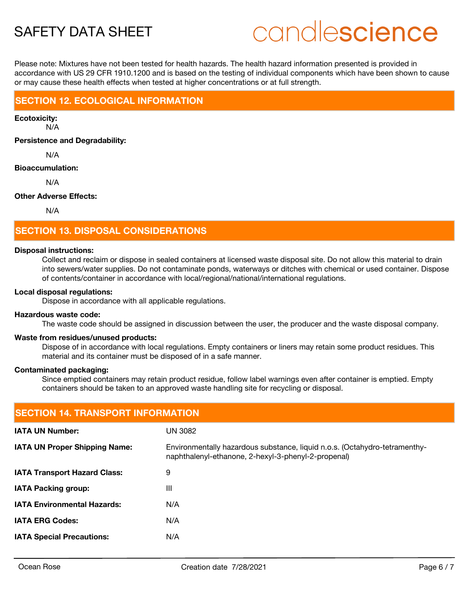# candlescience

Please note: Mixtures have not been tested for health hazards. The health hazard information presented is provided in accordance with US 29 CFR 1910.1200 and is based on the testing of individual components which have been shown to cause or may cause these health effects when tested at higher concentrations or at full strength.

## **SECTION 12. ECOLOGICAL INFORMATION**

**Ecotoxicity:**

N/A

**Persistence and Degradability:**

N/A

### **Bioaccumulation:**

N/A

### **Other Adverse Effects:**

N/A

# **SECTION 13. DISPOSAL CONSIDERATIONS**

### **Disposal instructions:**

Collect and reclaim or dispose in sealed containers at licensed waste disposal site. Do not allow this material to drain into sewers/water supplies. Do not contaminate ponds, waterways or ditches with chemical or used container. Dispose of contents/container in accordance with local/regional/national/international regulations.

### **Local disposal regulations:**

Dispose in accordance with all applicable regulations.

### **Hazardous waste code:**

The waste code should be assigned in discussion between the user, the producer and the waste disposal company.

### **Waste from residues/unused products:**

Dispose of in accordance with local regulations. Empty containers or liners may retain some product residues. This material and its container must be disposed of in a safe manner.

### **Contaminated packaging:**

Since emptied containers may retain product residue, follow label warnings even after container is emptied. Empty containers should be taken to an approved waste handling site for recycling or disposal.

| <b>SECTION 14. TRANSPORT INFORMATION</b> |                                                                                                                                   |  |  |
|------------------------------------------|-----------------------------------------------------------------------------------------------------------------------------------|--|--|
| <b>IATA UN Number:</b>                   | <b>UN 3082</b>                                                                                                                    |  |  |
| <b>IATA UN Proper Shipping Name:</b>     | Environmentally hazardous substance, liquid n.o.s. (Octahydro-tetramenthy-<br>naphthalenyl-ethanone, 2-hexyl-3-phenyl-2-propenal) |  |  |
| <b>IATA Transport Hazard Class:</b>      | 9                                                                                                                                 |  |  |
| <b>IATA Packing group:</b>               | Ш                                                                                                                                 |  |  |
| <b>IATA Environmental Hazards:</b>       | N/A                                                                                                                               |  |  |
| <b>IATA ERG Codes:</b>                   | N/A                                                                                                                               |  |  |
| <b>IATA Special Precautions:</b>         | N/A                                                                                                                               |  |  |